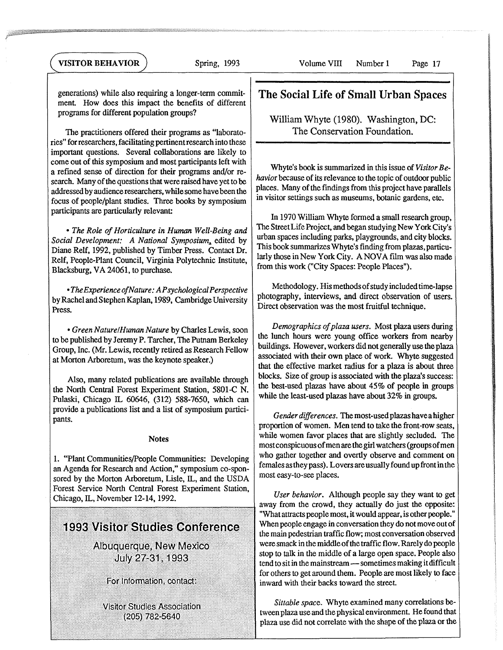generations) while also requiring a longer-term commitment. How does this impact the benefits of different programs for different population groups?

The practitioners offered their programs as "laboratories" for researchers, facilitating pertinent research into these important questions. Several collaborations are likely to come out of this symposium and most participants left with a refined sense of direction for their programs and/or research. Many of the questions that were raised have yet to be addressed by audience researchers, while some have been the focus of people/plant studies. Three books by symposium participants are particularly relevant:

*• The Role of Horticulture in Human Well-Being and Social Development: A National Symposium,* edited by Diane Relf, 1992, published by Timber Press. Contact Dr. Relf, People-Plant Council, Virginia Polytechnic Institute, Blacksburg, VA 24061, to purchase.

*• TheExperience ofNature: APsychologicalPerspective* by Rachel and Stephen Kaplan, 1989, Cambridge University Press.

*• Green Nature/Human Nature* by Charles Lewis, soon to be published by Jeremy P. Tarcher, The Putnam Berkeley Group, Inc. (Mr. Lewis, recently retired as Research Fellow at Morton Arboretum, was the keynote speaker.)

Also, many related publications are available through the North Central Forest Experiment Station, 5801-C N. Pulaski, Chicago IL 60646, (312) 588-7650, which can provide a publications list and a list of symposium participants.

## **Notes**

1. "Plant Communities/People Communities: Developing an Agenda for Research and Action," symposium co-sponsored by the Morton Arboretum, Lisle, IL, and the USDA Forest Service North Central Forest Experiment Station, Chicago, IL, November 12-14, 1992.

## **1993 Visitor Studies Conference**

Albuquerque, New Mexico July 27-31, 1993

For Information, contact:

**Visitor Studies Association** (205) 782-5640

## **The Social Life of Small Urban Spaces**

William Whyte (1980). Washington, DC: The Conservation Foundation.

Whyte's book is summarized in this issue of *Visitor Behavior* because of its relevance to the topic of outdoor public places. Many of the findings from this project have parallels in visitor settings such as museums, botanic gardens, etc.

In 1970 William Whyte formed a small research group, The Street Life Project, and began studying New York City's urban spaces including parks, playgrounds, and city blocks. This book summarizes Whyte's finding from plazas, particularly those in New York City. A NOVA film was also made from this work ("City Spaces: People Places").

Methodology. His methods of study included time-lapse photography, interviews, and direct observation of users. Direct observation was the most fruitful technique.

*Demographics of plaza users.* Most plaza users during the lunch hours were young office workers from nearby buildings. However, workers did not generally use the plaza associated with their own place of work. Whyte suggested that the effective market radius for a plaza is about three blocks. Size of group is associated with the plaza's success: the best-used plazas have about 45% of people in groups while the least-used plazas have about 32% in groups.

*Gender differences.* The most-used plazas have a higher proportion of women. Men tend to take the front-row seats, while women favor places that are slightly secluded. The most conspicuous of men are the girl watchers (groups of men who gather together and overtly observe and comment on females as they pass). Lovers are usually found up front in the most easy-to-see places.

*User behavior.* Although people say they want to get away from the crowd, they actually do just the opposite: "What attracts people most, it would appear, is other people." When people engage in conversation they do not move out of the main pedestrian traffic flow; most conversation observed were smack in the middle of the traffic flow. Rarely do people stop to talk in the middle of a large open space. People also tend to sit in the mainstream — sometimes making it difficult for others to get around them. People are most likely to face inward with their backs toward the street.

*Sittable space.* Whyte examined many correlations be tween plaza use and the physical environment. He found that plaza use did not correlate with the shape of the plaza or the